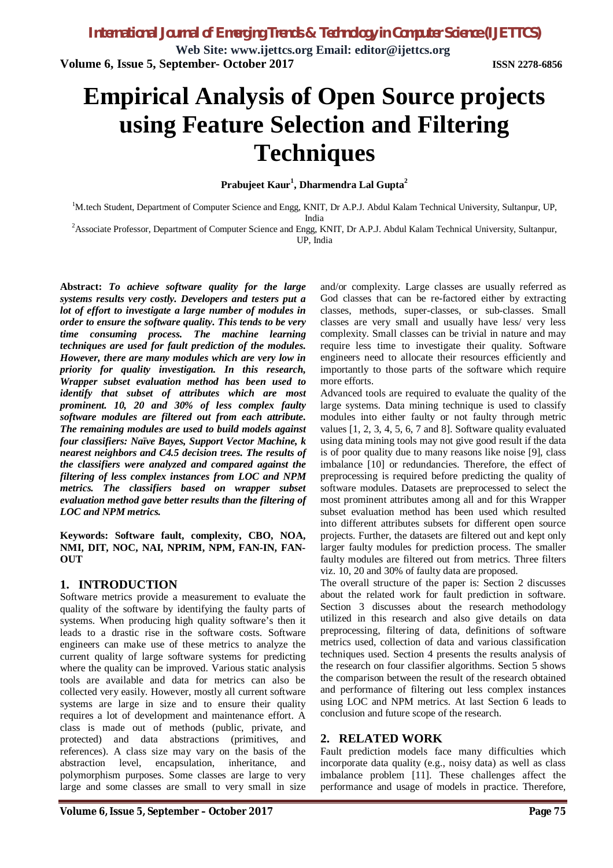**Web Site: www.ijettcs.org Email: editor@ijettcs.org Volume 6, Issue 5, September- October 2017 ISSN 2278-6856**

# **Empirical Analysis of Open Source projects using Feature Selection and Filtering Techniques**

#### **Prabujeet Kaur<sup>1</sup> , Dharmendra Lal Gupta<sup>2</sup>**

<sup>1</sup>M.tech Student, Department of Computer Science and Engg, KNIT, Dr A.P.J. Abdul Kalam Technical University, Sultanpur, UP, India

<sup>2</sup>Associate Professor, Department of Computer Science and Engg, KNIT, Dr A.P.J. Abdul Kalam Technical University, Sultanpur, UP, India

**Abstract:** *To achieve software quality for the large systems results very costly. Developers and testers put a lot of effort to investigate a large number of modules in order to ensure the software quality. This tends to be very time consuming process. The machine learning techniques are used for fault prediction of the modules. However, there are many modules which are very low in priority for quality investigation. In this research, Wrapper subset evaluation method has been used to identify that subset of attributes which are most prominent. 10, 20 and 30% of less complex faulty software modules are filtered out from each attribute. The remaining modules are used to build models against four classifiers: Naïve Bayes, Support Vector Machine, k nearest neighbors and C4.5 decision trees. The results of the classifiers were analyzed and compared against the filtering of less complex instances from LOC and NPM metrics. The classifiers based on wrapper subset evaluation method gave better results than the filtering of LOC and NPM metrics.*

**Keywords: Software fault, complexity, CBO, NOA, NMI, DIT, NOC, NAI, NPRIM, NPM, FAN-IN, FAN-OUT**

#### **1. INTRODUCTION**

Software metrics provide a measurement to evaluate the quality of the software by identifying the faulty parts of systems. When producing high quality software's then it leads to a drastic rise in the software costs. Software engineers can make use of these metrics to analyze the current quality of large software systems for predicting where the quality can be improved. Various static analysis tools are available and data for metrics can also be collected very easily. However, mostly all current software systems are large in size and to ensure their quality requires a lot of development and maintenance effort. A class is made out of methods (public, private, and protected) and data abstractions (primitives, and references). A class size may vary on the basis of the abstraction level, encapsulation, inheritance, and polymorphism purposes. Some classes are large to very large and some classes are small to very small in size

Fault prediction models face many difficulties which incorporate data quality (e.g., noisy data) as well as class imbalance problem [11]. These challenges affect the performance and usage of models in practice. Therefore,

and/or complexity. Large classes are usually referred as God classes that can be re-factored either by extracting classes, methods, super-classes, or sub-classes. Small classes are very small and usually have less/ very less complexity. Small classes can be trivial in nature and may require less time to investigate their quality. Software engineers need to allocate their resources efficiently and importantly to those parts of the software which require more efforts.

Advanced tools are required to evaluate the quality of the large systems. Data mining technique is used to classify modules into either faulty or not faulty through metric values [1, 2, 3, 4, 5, 6, 7 and 8]. Software quality evaluated using data mining tools may not give good result if the data is of poor quality due to many reasons like noise [9], class imbalance [10] or redundancies. Therefore, the effect of preprocessing is required before predicting the quality of software modules. Datasets are preprocessed to select the most prominent attributes among all and for this Wrapper subset evaluation method has been used which resulted into different attributes subsets for different open source projects. Further, the datasets are filtered out and kept only larger faulty modules for prediction process. The smaller faulty modules are filtered out from metrics. Three filters viz. 10, 20 and 30% of faulty data are proposed.

The overall structure of the paper is: Section 2 discusses about the related work for fault prediction in software. Section 3 discusses about the research methodology utilized in this research and also give details on data preprocessing, filtering of data, definitions of software metrics used, collection of data and various classification techniques used. Section 4 presents the results analysis of the research on four classifier algorithms. Section 5 shows the comparison between the result of the research obtained and performance of filtering out less complex instances using LOC and NPM metrics. At last Section 6 leads to conclusion and future scope of the research.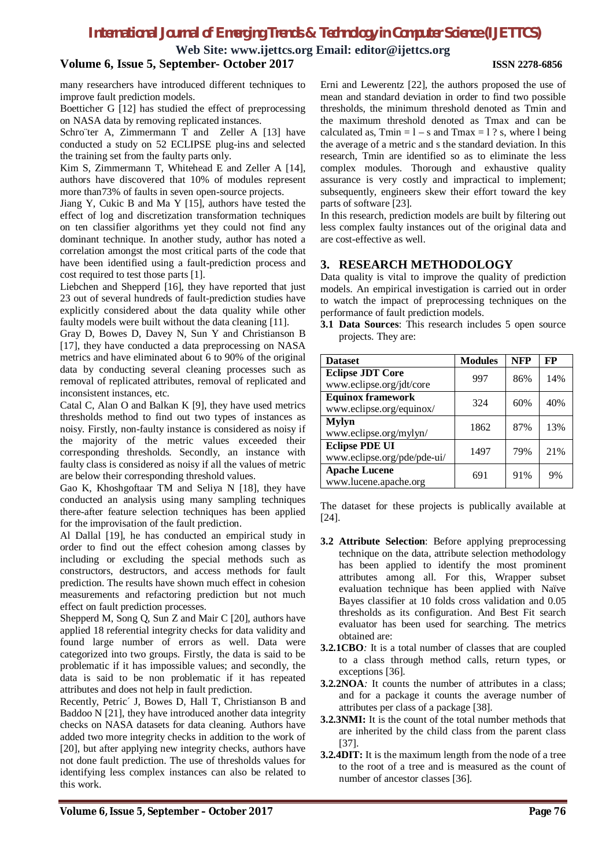**Web Site: www.ijettcs.org Email: editor@ijettcs.org**

#### **Volume 6, Issue 5, September- October 2017 ISSN 2278-6856**

many researchers have introduced different techniques to improve fault prediction models.

Boetticher G [12] has studied the effect of preprocessing on NASA data by removing replicated instances.

Schroïter A, Zimmermann T and Zeller A [13] have conducted a study on 52 ECLIPSE plug-ins and selected the training set from the faulty parts only.

Kim S, Zimmermann T, Whitehead E and Zeller A [14], authors have discovered that 10% of modules represent more than73% of faults in seven open-source projects.

Jiang Y, Cukic B and Ma Y [15], authors have tested the effect of log and discretization transformation techniques on ten classifier algorithms yet they could not find any dominant technique. In another study, author has noted a correlation amongst the most critical parts of the code that have been identified using a fault-prediction process and cost required to test those parts [1].

Liebchen and Shepperd [16], they have reported that just 23 out of several hundreds of fault-prediction studies have explicitly considered about the data quality while other faulty models were built without the data cleaning [11].

Gray D, Bowes D, Davey N, Sun Y and Christianson B [17], they have conducted a data preprocessing on NASA metrics and have eliminated about 6 to 90% of the original data by conducting several cleaning processes such as removal of replicated attributes, removal of replicated and inconsistent instances, etc.

Catal C, Alan O and Balkan K [9], they have used metrics thresholds method to find out two types of instances as noisy. Firstly, non-faulty instance is considered as noisy if the majority of the metric values exceeded their corresponding thresholds. Secondly, an instance with faulty class is considered as noisy if all the values of metric are below their corresponding threshold values.

Gao K, Khoshgoftaar TM and Seliya N [18], they have conducted an analysis using many sampling techniques there-after feature selection techniques has been applied for the improvisation of the fault prediction.

Al Dallal [19], he has conducted an empirical study in order to find out the effect cohesion among classes by including or excluding the special methods such as constructors, destructors, and access methods for fault prediction. The results have shown much effect in cohesion measurements and refactoring prediction but not much effect on fault prediction processes.

Shepperd M, Song Q, Sun Z and Mair C [20], authors have applied 18 referential integrity checks for data validity and found large number of errors as well. Data were categorized into two groups. Firstly, the data is said to be problematic if it has impossible values; and secondly, the data is said to be non problematic if it has repeated attributes and does not help in fault prediction.

Recently, Petric´ J, Bowes D, Hall T, Christianson B and Baddoo N [21], they have introduced another data integrity checks on NASA datasets for data cleaning. Authors have added two more integrity checks in addition to the work of [20], but after applying new integrity checks, authors have not done fault prediction. The use of thresholds values for identifying less complex instances can also be related to this work.

Erni and Lewerentz [22], the authors proposed the use of mean and standard deviation in order to find two possible thresholds, the minimum threshold denoted as Tmin and the maximum threshold denoted as Tmax and can be calculated as,  $Tmin = 1 - s$  and  $Tmax = 1$ ? s, where l being the average of a metric and s the standard deviation. In this research, Tmin are identified so as to eliminate the less complex modules. Thorough and exhaustive quality assurance is very costly and impractical to implement; subsequently, engineers skew their effort toward the key parts of software [23].

In this research, prediction models are built by filtering out less complex faulty instances out of the original data and are cost-effective as well.

#### **3. RESEARCH METHODOLOGY**

Data quality is vital to improve the quality of prediction models. An empirical investigation is carried out in order to watch the impact of preprocessing techniques on the performance of fault prediction models.

**3.1 Data Sources**: This research includes 5 open source projects. They are:

| <b>Dataset</b>                                       | <b>Modules</b> | NFP | FP  |
|------------------------------------------------------|----------------|-----|-----|
| <b>Eclipse JDT Core</b><br>www.eclipse.org/jdt/core  | 997            | 86% | 14% |
| <b>Equinox framework</b><br>www.eclipse.org/equinox/ | 324            | 60% | 40% |
| <b>Mylyn</b><br>www.eclipse.org/mylyn/               | 1862           | 87% | 13% |
| <b>Eclipse PDE UI</b><br>www.eclipse.org/pde/pde-ui/ | 1497           | 79% | 21% |
| <b>Apache Lucene</b><br>www.lucene.apache.org        | 691            | 91% | 9%  |

The dataset for these projects is publically available at [24].

- **3.2 Attribute Selection**: Before applying preprocessing technique on the data, attribute selection methodology has been applied to identify the most prominent attributes among all. For this, Wrapper subset evaluation technique has been applied with Naïve Bayes classifier at 10 folds cross validation and 0.05 thresholds as its configuration. And Best Fit search evaluator has been used for searching. The metrics obtained are:
- **3.2.1CBO***:* It is a total number of classes that are coupled to a class through method calls, return types, or exceptions [36].
- **3.2.2NOA**: It counts the number of attributes in a class; and for a package it counts the average number of attributes per class of a package [38].
- **3.2.3NMI:** It is the count of the total number methods that are inherited by the child class from the parent class [37].
- **3.2.4DIT:** It is the maximum length from the node of a tree to the root of a tree and is measured as the count of number of ancestor classes [36].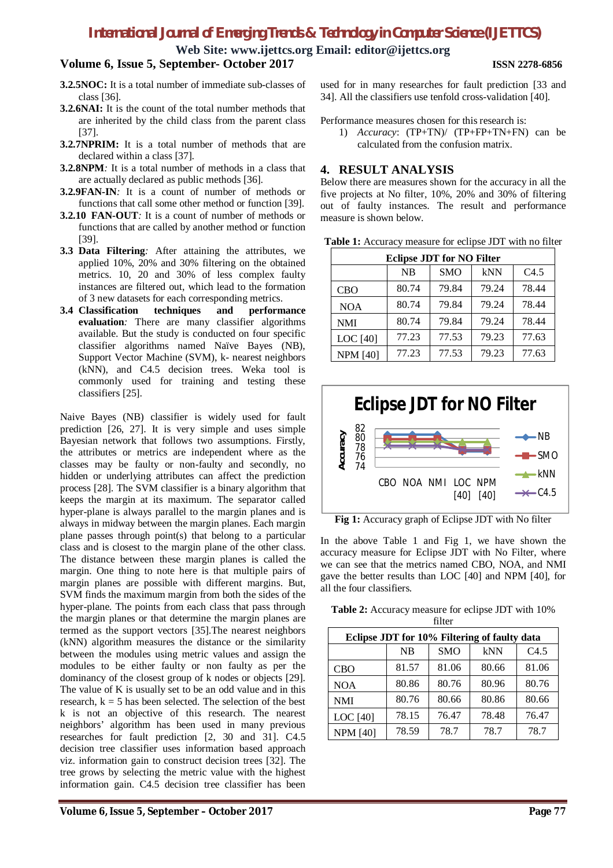**Web Site: www.ijettcs.org Email: editor@ijettcs.org**

#### **Volume 6, Issue 5, September- October 2017 ISSN 2278-6856**

- **3.2.5NOC:** It is a total number of immediate sub-classes of class [36].
- **3.2.6NAI:** It is the count of the total number methods that are inherited by the child class from the parent class [37].
- **3.2.7NPRIM:** It is a total number of methods that are declared within a class [37].
- **3.2.8NPM***:* It is a total number of methods in a class that are actually declared as public methods [36].
- **3.2.9FAN-IN***:* It is a count of number of methods or functions that call some other method or function [39].
- **3.2.10 FAN-OUT***:* It is a count of number of methods or functions that are called by another method or function [39].
- **3.3 Data Filtering***:* After attaining the attributes, we applied 10%, 20% and 30% filtering on the obtained metrics. 10, 20 and 30% of less complex faulty instances are filtered out, which lead to the formation
- of 3 new datasets for each corresponding metrics.<br>Classification techniques and performance **3.4 Classification techniques and evaluation***:* There are many classifier algorithms available. But the study is conducted on four specific classifier algorithms named Naïve Bayes (NB), Support Vector Machine (SVM), k- nearest neighbors (kNN), and C4.5 decision trees. Weka tool is commonly used for training and testing these classifiers [25].

Naive Bayes (NB) classifier is widely used for fault prediction [26, 27]. It is very simple and uses simple Bayesian network that follows two assumptions. Firstly, the attributes or metrics are independent where as the classes may be faulty or non-faulty and secondly, no hidden or underlying attributes can affect the prediction process [28]. The SVM classifier is a binary algorithm that keeps the margin at its maximum. The separator called hyper-plane is always parallel to the margin planes and is always in midway between the margin planes. Each margin plane passes through point(s) that belong to a particular class and is closest to the margin plane of the other class. The distance between these margin planes is called the margin. One thing to note here is that multiple pairs of margin planes are possible with different margins. But, SVM finds the maximum margin from both the sides of the hyper-plane. The points from each class that pass through the margin planes or that determine the margin planes are termed as the support vectors [35].The nearest neighbors (kNN) algorithm measures the distance or the similarity between the modules using metric values and assign the modules to be either faulty or non faulty as per the dominancy of the closest group of k nodes or objects [29]. The value of K is usually set to be an odd value and in this research,  $k = 5$  has been selected. The selection of the best k is not an objective of this research. The nearest neighbors' algorithm has been used in many previous researches for fault prediction [2, 30 and 31]. C4.5 decision tree classifier uses information based approach viz. information gain to construct decision trees [32]. The tree grows by selecting the metric value with the highest information gain. C4.5 decision tree classifier has been

used for in many researches for fault prediction [33 and 34]. All the classifiers use tenfold cross-validation [40].

Performance measures chosen for this research is:

1) *Accuracy*: (TP+TN)/ (TP+FP+TN+FN) can be calculated from the confusion matrix.

#### **4. RESULT ANALYSIS**

Below there are measures shown for the accuracy in all the five projects at No filter, 10%, 20% and 30% of filtering out of faulty instances. The result and performance measure is shown below.

**Table 1:** Accuracy measure for eclipse JDT with no filter

| <b>Eclipse JDT for NO Filter</b> |           |            |       |       |
|----------------------------------|-----------|------------|-------|-------|
|                                  | <b>NB</b> | <b>SMO</b> | kNN   | C4.5  |
| <b>CBO</b>                       | 80.74     | 79.84      | 79.24 | 78.44 |
| <b>NOA</b>                       | 80.74     | 79.84      | 79.24 | 78.44 |
| <b>NMI</b>                       | 80.74     | 79.84      | 79.24 | 78.44 |
| <b>LOC</b> [40]                  | 77.23     | 77.53      | 79.23 | 77.63 |
| <b>NPM [40]</b>                  | 77.23     | 77.53      | 79.23 | 77.63 |



**Fig 1:** Accuracy graph of Eclipse JDT with No filter

In the above Table 1 and Fig 1, we have shown the accuracy measure for Eclipse JDT with No Filter, where we can see that the metrics named CBO, NOA, and NMI gave the better results than LOC [40] and NPM [40], for all the four classifiers.

| <b>Table 2:</b> Accuracy measure for eclipse JDT with 10% |        |  |
|-----------------------------------------------------------|--------|--|
|                                                           | filter |  |

| Eclipse JDT for 10% Filtering of faulty data |           |            |       |       |
|----------------------------------------------|-----------|------------|-------|-------|
|                                              | <b>NB</b> | <b>SMO</b> | kNN   | C4.5  |
| <b>CBO</b>                                   | 81.57     | 81.06      | 80.66 | 81.06 |
| <b>NOA</b>                                   | 80.86     | 80.76      | 80.96 | 80.76 |
| <b>NMI</b>                                   | 80.76     | 80.66      | 80.86 | 80.66 |
| LOC <sup>[40]</sup>                          | 78.15     | 76.47      | 78.48 | 76.47 |
| <b>NPM [40]</b>                              | 78.59     | 78.7       | 78.7  | 78.7  |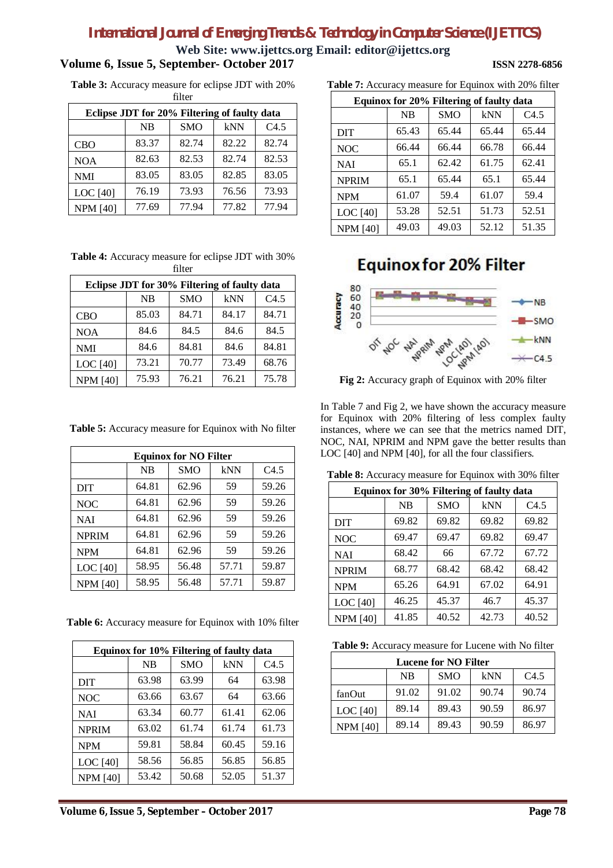**Web Site: www.ijettcs.org Email: editor@ijettcs.org**

#### **Volume 6, Issue 5, September- October 2017 ISSN 2278-6856**

**Table 3:** Accuracy measure for eclipse JDT with 20% filter

| Eclipse JDT for 20% Filtering of faulty data |           |            |       |       |
|----------------------------------------------|-----------|------------|-------|-------|
|                                              | <b>NB</b> | <b>SMO</b> | kNN   | C4.5  |
| <b>CBO</b>                                   | 83.37     | 82.74      | 82.22 | 82.74 |
| <b>NOA</b>                                   | 82.63     | 82.53      | 82.74 | 82.53 |
| <b>NMI</b>                                   | 83.05     | 83.05      | 82.85 | 83.05 |
| LOC <sup>[40]</sup>                          | 76.19     | 73.93      | 76.56 | 73.93 |
| <b>NPM [40]</b>                              | 77.69     | 77.94      | 77.82 | 77.94 |

**Table 4:** Accuracy measure for eclipse JDT with 30% filter

| Eclipse JDT for 30% Filtering of faulty data |           |            |       |       |
|----------------------------------------------|-----------|------------|-------|-------|
|                                              | <b>NB</b> | <b>SMO</b> | kNN   | C4.5  |
| <b>CBO</b>                                   | 85.03     | 84.71      | 84.17 | 84.71 |
| <b>NOA</b>                                   | 84.6      | 84.5       | 84.6  | 84.5  |
| <b>NMI</b>                                   | 84.6      | 84.81      | 84.6  | 84.81 |
| LOC <sup>[40]</sup>                          | 73.21     | 70.77      | 73.49 | 68.76 |
| <b>NPM [40]</b>                              | 75.93     | 76.21      | 76.21 | 75.78 |

**Table 5:** Accuracy measure for Equinox with No filter

| <b>Equinox for NO Filter</b> |           |            |       |       |  |
|------------------------------|-----------|------------|-------|-------|--|
|                              | <b>NB</b> | <b>SMO</b> | kNN   | C4.5  |  |
| <b>DIT</b>                   | 64.81     | 62.96      | 59    | 59.26 |  |
| <b>NOC</b>                   | 64.81     | 62.96      | 59    | 59.26 |  |
| <b>NAI</b>                   | 64.81     | 62.96      | 59    | 59.26 |  |
| <b>NPRIM</b>                 | 64.81     | 62.96      | 59    | 59.26 |  |
| <b>NPM</b>                   | 64.81     | 62.96      | 59    | 59.26 |  |
| LOC <sup>[40]</sup>          | 58.95     | 56.48      | 57.71 | 59.87 |  |
| <b>NPM [40]</b>              | 58.95     | 56.48      | 57.71 | 59.87 |  |

**Table 6:** Accuracy measure for Equinox with 10% filter

| Equinox for 10% Filtering of faulty data |           |            |       |       |  |
|------------------------------------------|-----------|------------|-------|-------|--|
|                                          | <b>NB</b> | <b>SMO</b> | kNN   | C4.5  |  |
| <b>DIT</b>                               | 63.98     | 63.99      | 64    | 63.98 |  |
| <b>NOC</b>                               | 63.66     | 63.67      | 64    | 63.66 |  |
| <b>NAI</b>                               | 63.34     | 60.77      | 61.41 | 62.06 |  |
| <b>NPRIM</b>                             | 63.02     | 61.74      | 61.74 | 61.73 |  |
| <b>NPM</b>                               | 59.81     | 58.84      | 60.45 | 59.16 |  |
| LOC $[40]$                               | 58.56     | 56.85      | 56.85 | 56.85 |  |
| <b>NPM</b> [40]                          | 53.42     | 50.68      | 52.05 | 51.37 |  |

**Table 7:** Accuracy measure for Equinox with 20% filter

| Equinox for 20% Filtering of faulty data |           |            |       |       |  |
|------------------------------------------|-----------|------------|-------|-------|--|
|                                          | <b>NB</b> | <b>SMO</b> | kNN   | C4.5  |  |
| <b>DIT</b>                               | 65.43     | 65.44      | 65.44 | 65.44 |  |
| <b>NOC</b>                               | 66.44     | 66.44      | 66.78 | 66.44 |  |
| <b>NAI</b>                               | 65.1      | 62.42      | 61.75 | 62.41 |  |
| <b>NPRIM</b>                             | 65.1      | 65.44      | 65.1  | 65.44 |  |
| <b>NPM</b>                               | 61.07     | 59.4       | 61.07 | 59.4  |  |
| LOC <sup>[40]</sup>                      | 53.28     | 52.51      | 51.73 | 52.51 |  |
| <b>NPM [40]</b>                          | 49.03     | 49.03      | 52.12 | 51.35 |  |

### **Equinox for 20% Filter**



**Fig 2:** Accuracy graph of Equinox with 20% filter

In Table 7 and Fig 2, we have shown the accuracy measure for Equinox with 20% filtering of less complex faulty instances, where we can see that the metrics named DIT, NOC, NAI, NPRIM and NPM gave the better results than LOC [40] and NPM [40], for all the four classifiers.

**Table 8:** Accuracy measure for Equinox with 30% filter

| Equinox for 30% Filtering of faulty data |       |            |       |       |
|------------------------------------------|-------|------------|-------|-------|
|                                          | NB    | <b>SMO</b> | kNN   | C4.5  |
| <b>DIT</b>                               | 69.82 | 69.82      | 69.82 | 69.82 |
| <b>NOC</b>                               | 69.47 | 69.47      | 69.82 | 69.47 |
| <b>NAI</b>                               | 68.42 | 66         | 67.72 | 67.72 |
| <b>NPRIM</b>                             | 68.77 | 68.42      | 68.42 | 68.42 |
| <b>NPM</b>                               | 65.26 | 64.91      | 67.02 | 64.91 |
| LOC <sup>[40]</sup>                      | 46.25 | 45.37      | 46.7  | 45.37 |
| <b>NPM</b> [40]                          | 41.85 | 40.52      | 42.73 | 40.52 |

**Table 9:** Accuracy measure for Lucene with No filter

| <b>Lucene for NO Filter</b>            |       |       |       |       |  |
|----------------------------------------|-------|-------|-------|-------|--|
| C4.5<br>kNN<br><b>NB</b><br><b>SMO</b> |       |       |       |       |  |
| fanOut                                 | 91.02 | 91.02 | 90.74 | 90.74 |  |
| LOC [40]                               | 89.14 | 89.43 | 90.59 | 86.97 |  |
| <b>NPM</b> [40]                        | 89.14 | 89.43 | 90.59 | 86.97 |  |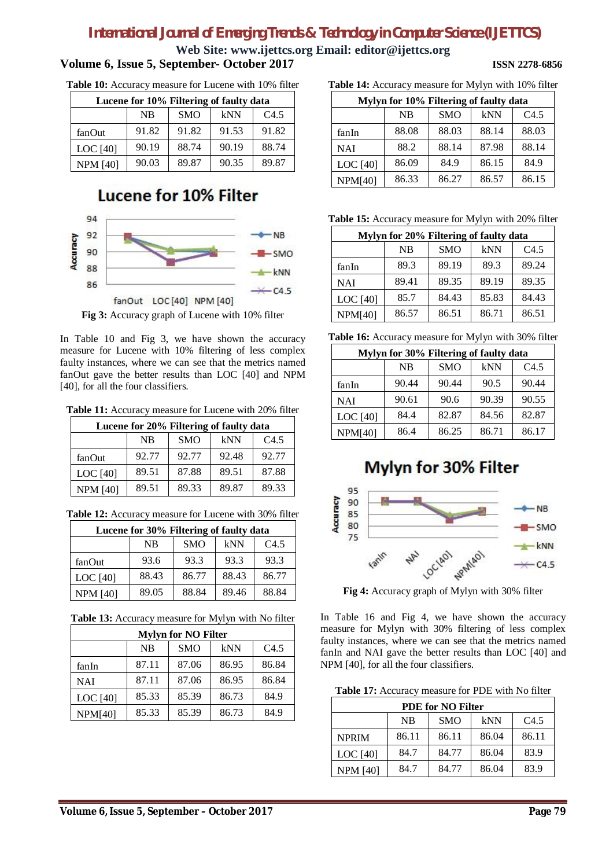**Web Site: www.ijettcs.org Email: editor@ijettcs.org**

#### **Volume 6, Issue 5, September- October 2017 ISSN 2278-6856**

**Table 10:** Accuracy measure for Lucene with 10% filter

| Lucene for 10% Filtering of faulty data |           |            |       |       |
|-----------------------------------------|-----------|------------|-------|-------|
|                                         | <b>NB</b> | <b>SMO</b> | kNN   | C4.5  |
| fanOut                                  | 91.82     | 91.82      | 91.53 | 91.82 |
| LOC <sup>[40]</sup>                     | 90.19     | 88.74      | 90.19 | 88.74 |
| <b>NPM [40]</b>                         | 90.03     | 89.87      | 90.35 | 89.87 |

### **Lucene for 10% Filter**



**Fig 3:** Accuracy graph of Lucene with 10% filter

In Table 10 and Fig 3, we have shown the accuracy measure for Lucene with 10% filtering of less complex faulty instances, where we can see that the metrics named fanOut gave the better results than LOC [40] and NPM [40], for all the four classifiers.

**Table 11:** Accuracy measure for Lucene with 20% filter

| Lucene for 20% Filtering of faulty data |       |            |       |       |  |
|-----------------------------------------|-------|------------|-------|-------|--|
|                                         | NB    | <b>SMO</b> | kNN   | C4.5  |  |
| fanOut                                  | 92.77 | 92.77      | 92.48 | 92.77 |  |
| LOC $[40]$                              | 89.51 | 87.88      | 89.51 | 87.88 |  |
| <b>NPM [40]</b>                         | 89.51 | 89.33      | 89.87 | 89.33 |  |

**Table 12:** Accuracy measure for Lucene with 30% filter

| Lucene for 30% Filtering of faulty data |           |            |       |       |  |
|-----------------------------------------|-----------|------------|-------|-------|--|
|                                         | <b>NB</b> | <b>SMO</b> | kNN   | C4.5  |  |
| fanOut                                  | 93.6      | 93.3       | 93.3  | 93.3  |  |
| LOC $[40]$                              | 88.43     | 86.77      | 88.43 | 86.77 |  |
| <b>NPM</b> [40]                         | 89.05     | 88.84      | 89.46 | 88.84 |  |

**Table 13:** Accuracy measure for Mylyn with No filter

| <b>Mylyn for NO Filter</b>             |       |       |       |       |  |  |
|----------------------------------------|-------|-------|-------|-------|--|--|
| <b>SMO</b><br><b>NB</b><br>kNN<br>C4.5 |       |       |       |       |  |  |
| fanIn                                  | 87.11 | 87.06 | 86.95 | 86.84 |  |  |
| NAI                                    | 87.11 | 87.06 | 86.95 | 86.84 |  |  |
| LOC [40]                               | 85.33 | 85.39 | 86.73 | 84.9  |  |  |
| NPM[40]                                | 85.33 | 85.39 | 86.73 | 84.9  |  |  |

**Table 14:** Accuracy measure for Mylyn with 10% filter

| Mylyn for 10% Filtering of faulty data |           |            |       |                  |  |
|----------------------------------------|-----------|------------|-------|------------------|--|
|                                        | <b>NB</b> | <b>SMO</b> | kNN   | C <sub>4.5</sub> |  |
| fanIn                                  | 88.08     | 88.03      | 88.14 | 88.03            |  |
| <b>NAI</b>                             | 88.2      | 88.14      | 87.98 | 88.14            |  |
| LOC [40]                               | 86.09     | 84.9       | 86.15 | 84.9             |  |
| <b>NPM[40]</b>                         | 86.33     | 86.27      | 86.57 | 86.15            |  |

**Table 15:** Accuracy measure for Mylyn with 20% filter

| Mylyn for 20% Filtering of faulty data |           |            |       |       |  |
|----------------------------------------|-----------|------------|-------|-------|--|
|                                        | <b>NB</b> | <b>SMO</b> | kNN   | C4.5  |  |
| fanIn                                  | 89.3      | 89.19      | 89.3  | 89.24 |  |
| <b>NAI</b>                             | 89.41     | 89.35      | 89.19 | 89.35 |  |
| LOC <sup>[40]</sup>                    | 85.7      | 84.43      | 85.83 | 84.43 |  |
| <b>NPM[40]</b>                         | 86.57     | 86.51      | 86.71 | 86.51 |  |

**Table 16:** Accuracy measure for Mylyn with 30% filter

| Mylyn for 30% Filtering of faulty data |           |            |       |       |  |
|----------------------------------------|-----------|------------|-------|-------|--|
|                                        | <b>NB</b> | <b>SMO</b> | kNN   | C4.5  |  |
| fanIn                                  | 90.44     | 90.44      | 90.5  | 90.44 |  |
| <b>NAI</b>                             | 90.61     | 90.6       | 90.39 | 90.55 |  |
| LOC <sup>[40]</sup>                    | 84.4      | 82.87      | 84.56 | 82.87 |  |
| <b>NPM[40]</b>                         | 86.4      | 86.25      | 86.71 | 86.17 |  |

## **Mylyn for 30% Filter**



**Fig 4:** Accuracy graph of Mylyn with 30% filter

In Table 16 and Fig 4, we have shown the accuracy measure for Mylyn with 30% filtering of less complex faulty instances, where we can see that the metrics named fanIn and NAI gave the better results than LOC [40] and NPM [40], for all the four classifiers.

**Table 17:** Accuracy measure for PDE with No filter

| <b>PDE for NO Filter</b>         |       |       |       |       |  |
|----------------------------------|-------|-------|-------|-------|--|
| <b>SMO</b><br>kNN<br>C4.5<br>NB. |       |       |       |       |  |
| <b>NPRIM</b>                     | 86.11 | 86.11 | 86.04 | 86.11 |  |
| LOC $[40]$                       | 84.7  | 84.77 | 86.04 | 83.9  |  |
| <b>NPM</b> [40]                  | 84.7  | 84.77 | 86.04 | 83.9  |  |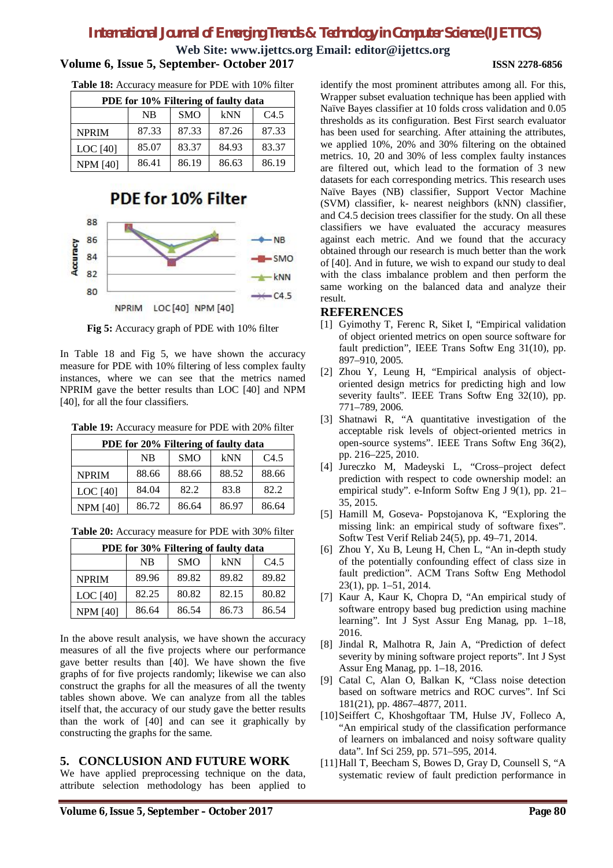**Web Site: www.ijettcs.org Email: editor@ijettcs.org**

#### **Volume 6, Issue 5, September- October 2017 ISSN 2278-6856**

**Table 18:** Accuracy measure for PDE with 10% filter

| PDE for 10% Filtering of faulty data   |       |       |       |       |  |
|----------------------------------------|-------|-------|-------|-------|--|
| <b>SMO</b><br>kNN<br>C4.5<br><b>NB</b> |       |       |       |       |  |
| <b>NPRIM</b>                           | 87.33 | 87.33 | 87.26 | 87.33 |  |
| LOC [40]                               | 85.07 | 83.37 | 84.93 | 83.37 |  |
| <b>NPM [40]</b>                        | 86.41 | 86.19 | 86.63 | 86.19 |  |

### PDE for 10% Filter



**Fig 5:** Accuracy graph of PDE with 10% filter

In Table 18 and Fig 5, we have shown the accuracy measure for PDE with 10% filtering of less complex faulty instances, where we can see that the metrics named NPRIM gave the better results than LOC [40] and NPM [40], for all the four classifiers.

**Table 19:** Accuracy measure for PDE with 20% filter

| PDE for 20% Filtering of faulty data |           |            |       |       |  |
|--------------------------------------|-----------|------------|-------|-------|--|
|                                      | <b>NB</b> | <b>SMO</b> | kNN   | C4.5  |  |
| <b>NPRIM</b>                         | 88.66     | 88.66      | 88.52 | 88.66 |  |
| LOC [40]                             | 84.04     | 82.2       | 83.8  | 82.2  |  |
| <b>NPM [40]</b>                      | 86.72     | 86.64      | 86.97 | 86.64 |  |

| PDE for 30% Filtering of faulty data |       |            |       |       |  |
|--------------------------------------|-------|------------|-------|-------|--|
|                                      | NB    | <b>SMO</b> | kNN   | C4.5  |  |
| <b>NPRIM</b>                         | 89.96 | 89.82      | 89.82 | 89.82 |  |
| LOC [40]                             | 82.25 | 80.82      | 82.15 | 80.82 |  |
| <b>NPM [40]</b>                      | 86.64 | 86.54      | 86.73 | 86.54 |  |

**Table 20:** Accuracy measure for PDE with 30% filter

In the above result analysis, we have shown the accuracy measures of all the five projects where our performance gave better results than [40]. We have shown the five graphs of for five projects randomly; likewise we can also construct the graphs for all the measures of all the twenty tables shown above. We can analyze from all the tables itself that, the accuracy of our study gave the better results than the work of [40] and can see it graphically by constructing the graphs for the same.

#### **5. CONCLUSION AND FUTURE WORK**

We have applied preprocessing technique on the data, attribute selection methodology has been applied to

identify the most prominent attributes among all. For this, Wrapper subset evaluation technique has been applied with Naïve Bayes classifier at 10 folds cross validation and 0.05 thresholds as its configuration. Best First search evaluator has been used for searching. After attaining the attributes, we applied 10%, 20% and 30% filtering on the obtained metrics. 10, 20 and 30% of less complex faulty instances are filtered out, which lead to the formation of 3 new datasets for each corresponding metrics. This research uses Naïve Bayes (NB) classifier, Support Vector Machine (SVM) classifier, k- nearest neighbors (kNN) classifier, and C4.5 decision trees classifier for the study. On all these classifiers we have evaluated the accuracy measures against each metric. And we found that the accuracy obtained through our research is much better than the work of [40]. And in future, we wish to expand our study to deal with the class imbalance problem and then perform the same working on the balanced data and analyze their result.

#### **REFERENCES**

- [1] Gyimothy T, Ferenc R, Siket I, "Empirical validation of object oriented metrics on open source software for fault prediction", IEEE Trans Softw Eng 31(10), pp. 897–910, 2005.
- [2] Zhou Y, Leung H, "Empirical analysis of objectoriented design metrics for predicting high and low severity faults". IEEE Trans Softw Eng 32(10), pp. 771–789, 2006.
- [3] Shatnawi R, "A quantitative investigation of the acceptable risk levels of object-oriented metrics in open-source systems". IEEE Trans Softw Eng 36(2), pp. 216–225, 2010.
- [4] Jureczko M, Madeyski L, "Cross–project defect prediction with respect to code ownership model: an empirical study". e-Inform Softw Eng J 9(1), pp. 21– 35, 2015.
- [5] Hamill M, Goseva- Popstojanova K, "Exploring the missing link: an empirical study of software fixes". Softw Test Verif Reliab 24(5), pp. 49–71, 2014.
- [6] Zhou Y, Xu B, Leung H, Chen L, "An in-depth study of the potentially confounding effect of class size in fault prediction". ACM Trans Softw Eng Methodol 23(1), pp. 1–51, 2014.
- [7] Kaur A, Kaur K, Chopra D, "An empirical study of software entropy based bug prediction using machine learning". Int J Syst Assur Eng Manag, pp. 1–18, 2016.
- [8] Jindal R, Malhotra R, Jain A, "Prediction of defect severity by mining software project reports". Int J Syst Assur Eng Manag, pp. 1–18, 2016.
- [9] Catal C, Alan O, Balkan K, "Class noise detection based on software metrics and ROC curves". Inf Sci 181(21), pp. 4867–4877, 2011.
- [10]Seiffert C, Khoshgoftaar TM, Hulse JV, Folleco A, "An empirical study of the classification performance of learners on imbalanced and noisy software quality data". Inf Sci 259, pp. 571–595, 2014.
- [11]Hall T, Beecham S, Bowes D, Gray D, Counsell S, "A systematic review of fault prediction performance in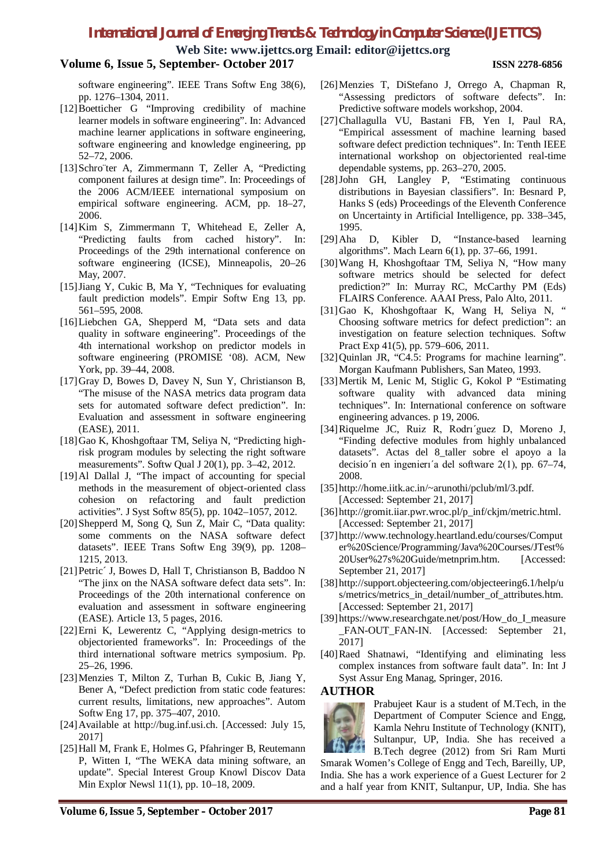**Web Site: www.ijettcs.org Email: editor@ijettcs.org**

#### **Volume 6, Issue 5, September- October 2017 ISSN 2278-6856**

software engineering". IEEE Trans Softw Eng 38(6), pp. 1276–1304, 2011.

- [12]Boetticher G "Improving credibility of machine learner models in software engineering". In: Advanced machine learner applications in software engineering, software engineering and knowledge engineering, pp 52–72, 2006.
- [13]Schro¨ter A, Zimmermann T, Zeller A, "Predicting component failures at design time". In: Proceedings of the 2006 ACM/IEEE international symposium on empirical software engineering. ACM, pp. 18–27, 2006.
- [14]Kim S, Zimmermann T, Whitehead E, Zeller A, "Predicting faults from cached history". In: Proceedings of the 29th international conference on software engineering (ICSE), Minneapolis, 20–26 May, 2007.
- [15]Jiang Y, Cukic B, Ma Y, "Techniques for evaluating fault prediction models". Empir Softw Eng 13, pp. 561–595, 2008.
- [16]Liebchen GA, Shepperd M, "Data sets and data quality in software engineering". Proceedings of the 4th international workshop on predictor models in software engineering (PROMISE '08). ACM, New York, pp. 39–44, 2008.
- [17]Gray D, Bowes D, Davey N, Sun Y, Christianson B, "The misuse of the NASA metrics data program data sets for automated software defect prediction". In: Evaluation and assessment in software engineering (EASE), 2011.
- [18]Gao K, Khoshgoftaar TM, Seliya N, "Predicting highrisk program modules by selecting the right software measurements". Softw Qual J 20(1), pp. 3–42, 2012.
- [19]Al Dallal J, "The impact of accounting for special methods in the measurement of object-oriented class cohesion on refactoring and fault prediction activities". J Syst Softw 85(5), pp. 1042–1057, 2012.
- [20]Shepperd M, Song Q, Sun Z, Mair C, "Data quality: some comments on the NASA software defect datasets". IEEE Trans Softw Eng 39(9), pp. 1208– 1215, 2013.
- [21]Petric´ J, Bowes D, Hall T, Christianson B, Baddoo N "The jinx on the NASA software defect data sets". In: Proceedings of the 20th international conference on evaluation and assessment in software engineering (EASE). Article 13, 5 pages, 2016.
- [22]Erni K, Lewerentz C, "Applying design-metrics to objectoriented frameworks". In: Proceedings of the third international software metrics symposium. Pp. 25–26, 1996.
- [23]Menzies T, Milton Z, Turhan B, Cukic B, Jiang Y, Bener A, "Defect prediction from static code features: current results, limitations, new approaches". Autom Softw Eng 17, pp. 375–407, 2010.
- [24]Available at http://bug.inf.usi.ch. [Accessed: July 15, 2017]
- [25]Hall M, Frank E, Holmes G, Pfahringer B, Reutemann P, Witten I, "The WEKA data mining software, an update". Special Interest Group Knowl Discov Data Min Explor Newsl 11(1), pp. 10–18, 2009.
- [26]Menzies T, DiStefano J, Orrego A, Chapman R, "Assessing predictors of software defects". In: Predictive software models workshop, 2004.
- [27]Challagulla VU, Bastani FB, Yen I, Paul RA, "Empirical assessment of machine learning based software defect prediction techniques". In: Tenth IEEE international workshop on objectoriented real-time dependable systems, pp. 263–270, 2005.
- [28]John GH, Langley P, "Estimating continuous distributions in Bayesian classifiers". In: Besnard P, Hanks S (eds) Proceedings of the Eleventh Conference on Uncertainty in Artificial Intelligence, pp. 338–345, 1995.
- [29]Aha D, Kibler D, "Instance-based learning algorithms". Mach Learn 6(1), pp. 37–66, 1991.
- [30]Wang H, Khoshgoftaar TM, Seliya N, "How many software metrics should be selected for defect prediction?" In: Murray RC, McCarthy PM (Eds) FLAIRS Conference. AAAI Press, Palo Alto, 2011.
- [31]Gao K, Khoshgoftaar K, Wang H, Seliya N, " Choosing software metrics for defect prediction": an investigation on feature selection techniques. Softw Pract Exp 41(5), pp. 579–606, 2011.
- [32] Quinlan JR, "C4.5: Programs for machine learning". Morgan Kaufmann Publishers, San Mateo, 1993.
- [33]Mertik M, Lenic M, Stiglic G, Kokol P "Estimating software quality with advanced data mining techniques". In: International conference on software engineering advances. p 19, 2006.
- [34]Riquelme JC, Ruiz R, Rodrı´guez D, Moreno J, "Finding defective modules from highly unbalanced datasets". Actas del 8\_taller sobre el apoyo a la decisio´n en ingenierı´a del software 2(1), pp. 67–74, 2008.
- [35]http://home.iitk.ac.in/~arunothi/pclub/ml/3.pdf. [Accessed: September 21, 2017]
- [36]http://gromit.iiar.pwr.wroc.pl/p\_inf/ckjm/metric.html. [Accessed: September 21, 2017]
- [37]http://www.technology.heartland.edu/courses/Comput er%20Science/Programming/Java%20Courses/JTest% 20User%27s%20Guide/metnprim.htm. [Accessed: September 21, 2017]
- [38]http://support.objecteering.com/objecteering6.1/help/u s/metrics/metrics\_in\_detail/number\_of\_attributes.htm. [Accessed: September 21, 2017]
- [39]https://www.researchgate.net/post/How\_do\_I\_measure FAN-OUT FAN-IN. [Accessed: September 21, 2017]
- [40]Raed Shatnawi, "Identifying and eliminating less complex instances from software fault data". In: Int J Syst Assur Eng Manag, Springer, 2016.

#### **AUTHOR**



Prabujeet Kaur is a student of M.Tech, in the Department of Computer Science and Engg, Kamla Nehru Institute of Technology (KNIT), Sultanpur, UP, India. She has received a B.Tech degree (2012) from Sri Ram Murti

Smarak Women's College of Engg and Tech, Bareilly, UP, India. She has a work experience of a Guest Lecturer for 2 and a half year from KNIT, Sultanpur, UP, India. She has